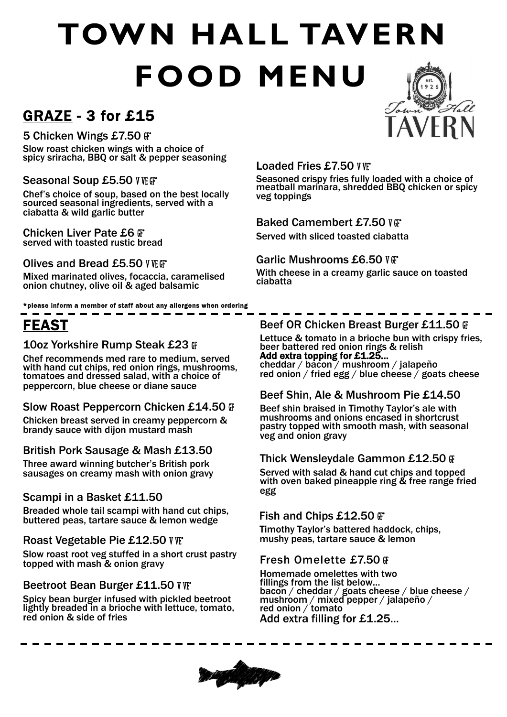# **TOWN HALL TAVERN FOOD MENU**

### GRAZE - 3 for £15

#### 5 Chicken Wings £7.50  $\mathbb{F}$ \*

Slow roast chicken wings with a choice of spicy sriracha, BBQ or salt & pepper seasoning

#### Seasonal Soup £5.50 V VE GT

Chef's choice of soup, based on the best locally sourced seasonal ingredients, served with a ciabatta & wild garlic butter

#### Chicken Liver Pate £6 G\* served with toasted rustic bread

#### Olives and Bread £5.50 V VE GF\*

Mixed marinated olives, focaccia, caramelised onion chutney, olive oil & aged balsamic

\*please inform a member of staff about any allergens when ordering

## FEAST

#### 10oz Yorkshire Rump Steak £23 FF

Chef recommends med rare to medium, served with hand cut chips, red onion rings, mushrooms, tomatoes and dressed salad, with a choice of peppercorn, blue cheese or diane sauce

#### Slow Roast Peppercorn Chicken £14.50 G

Chicken breast served in creamy peppercorn & brandy sauce with dijon mustard mash

#### British Pork Sausage & Mash £13.50

Three award winning butcher's British pork sausages on creamy mash with onion gravy

#### Scampi in a Basket £11.50

Breaded whole tail scampi with hand cut chips, buttered peas, tartare sauce & lemon wedge

#### Roast Vegetable Pie £12.50 V W

Slow roast root veg stuffed in a short crust pastry topped with mash & onion gravy

#### Beetroot Bean Burger £11.50 V VE

Spicy bean burger infused with pickled beetroot lightly breaded in a brioche with lettuce, tomato, red onion & side of fries



#### Loaded Fries £7.50 V VF

Seasoned crispy fries fully loaded with a choice of meatball marinara, shredded BBQ chicken or spicy veg toppings

#### Baked Camembert £7.50 V F

Served with sliced toasted ciabatta

#### Garlic Mushrooms £6.50 V GF

With cheese in a creamy garlic sauce on toasted ciabatta

#### Beef OR Chicken Breast Burger £11.50 GF

Lettuce & tomato in a brioche bun with crispy fries. beer battered red onion rings & relish Add extra topping for £1.25… cheddar / bacon / mushroom / jalapeño red onion / fried egg / blue cheese / goats cheese

#### Beef Shin, Ale & Mushroom Pie £14.50

Beef shin braised in Timothy Taylor's ale with mushrooms and onions encased in shortcrust pastry topped with smooth mash, with seasonal veg and onion gravy

#### **Thick Wensleydale Gammon £12.50 G**

Served with salad & hand cut chips and topped with oven baked pineapple ring & free range fried

#### Fish and Chips  $£12.50$   $#$

Timothy Taylor's battered haddock, chips, mushy peas, tartare sauce & lemon

#### Fresh Omelette £7.50 GF

Homemade omelettes with two fillings from the list below… bacon / cheddar / goats cheese / blue cheese / mushroom / mixed pepper / jalapeño / red onion / tomato Add extra filling for £1.25...